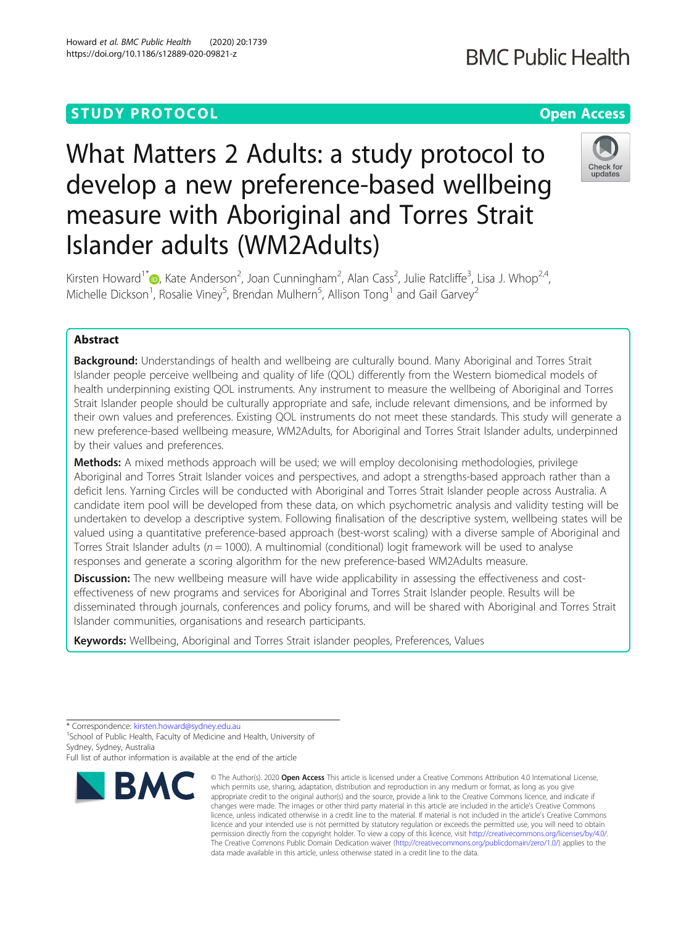# **STUDY PROTOCOL CONSUMING THE RESERVE ACCESS**

# **BMC Public Health**

# What Matters 2 Adults: a study protocol to develop a new preference-based wellbeing measure with Aboriginal and Torres Strait Islander adults (WM2Adults)



Kirsten Howard<sup>1[\\*](http://orcid.org/0000-0002-0918-7540)</sup> $\bullet$ , Kate Anderson<sup>2</sup>, Joan Cunningham<sup>2</sup>, Alan Cass<sup>2</sup>, Julie Ratcliffe<sup>3</sup>, Lisa J. Whop<sup>2,4</sup>, Michelle Dickson<sup>1</sup>, Rosalie Viney<sup>5</sup>, Brendan Mulhern<sup>5</sup>, Allison Tong<sup>1</sup> and Gail Garvey<sup>2</sup>

# Abstract

**Background:** Understandings of health and wellbeing are culturally bound. Many Aboriginal and Torres Strait Islander people perceive wellbeing and quality of life (QOL) differently from the Western biomedical models of health underpinning existing QOL instruments. Any instrument to measure the wellbeing of Aboriginal and Torres Strait Islander people should be culturally appropriate and safe, include relevant dimensions, and be informed by their own values and preferences. Existing QOL instruments do not meet these standards. This study will generate a new preference-based wellbeing measure, WM2Adults, for Aboriginal and Torres Strait Islander adults, underpinned by their values and preferences.

Methods: A mixed methods approach will be used; we will employ decolonising methodologies, privilege Aboriginal and Torres Strait Islander voices and perspectives, and adopt a strengths-based approach rather than a deficit lens. Yarning Circles will be conducted with Aboriginal and Torres Strait Islander people across Australia. A candidate item pool will be developed from these data, on which psychometric analysis and validity testing will be undertaken to develop a descriptive system. Following finalisation of the descriptive system, wellbeing states will be valued using a quantitative preference-based approach (best-worst scaling) with a diverse sample of Aboriginal and Torres Strait Islander adults ( $n = 1000$ ). A multinomial (conditional) logit framework will be used to analyse responses and generate a scoring algorithm for the new preference-based WM2Adults measure.

**Discussion:** The new wellbeing measure will have wide applicability in assessing the effectiveness and costeffectiveness of new programs and services for Aboriginal and Torres Strait Islander people. Results will be disseminated through journals, conferences and policy forums, and will be shared with Aboriginal and Torres Strait Islander communities, organisations and research participants.

Keywords: Wellbeing, Aboriginal and Torres Strait islander peoples, Preferences, Values

<sup>1</sup>School of Public Health, Faculty of Medicine and Health, University of Sydney, Sydney, Australia

Full list of author information is available at the end of the article



<sup>©</sup> The Author(s), 2020 **Open Access** This article is licensed under a Creative Commons Attribution 4.0 International License, which permits use, sharing, adaptation, distribution and reproduction in any medium or format, as long as you give appropriate credit to the original author(s) and the source, provide a link to the Creative Commons licence, and indicate if changes were made. The images or other third party material in this article are included in the article's Creative Commons licence, unless indicated otherwise in a credit line to the material. If material is not included in the article's Creative Commons licence and your intended use is not permitted by statutory regulation or exceeds the permitted use, you will need to obtain permission directly from the copyright holder. To view a copy of this licence, visit [http://creativecommons.org/licenses/by/4.0/.](http://creativecommons.org/licenses/by/4.0/) The Creative Commons Public Domain Dedication waiver [\(http://creativecommons.org/publicdomain/zero/1.0/](http://creativecommons.org/publicdomain/zero/1.0/)) applies to the data made available in this article, unless otherwise stated in a credit line to the data.

<sup>\*</sup> Correspondence: [kirsten.howard@sydney.edu.au](mailto:kirsten.howard@sydney.edu.au) <sup>1</sup>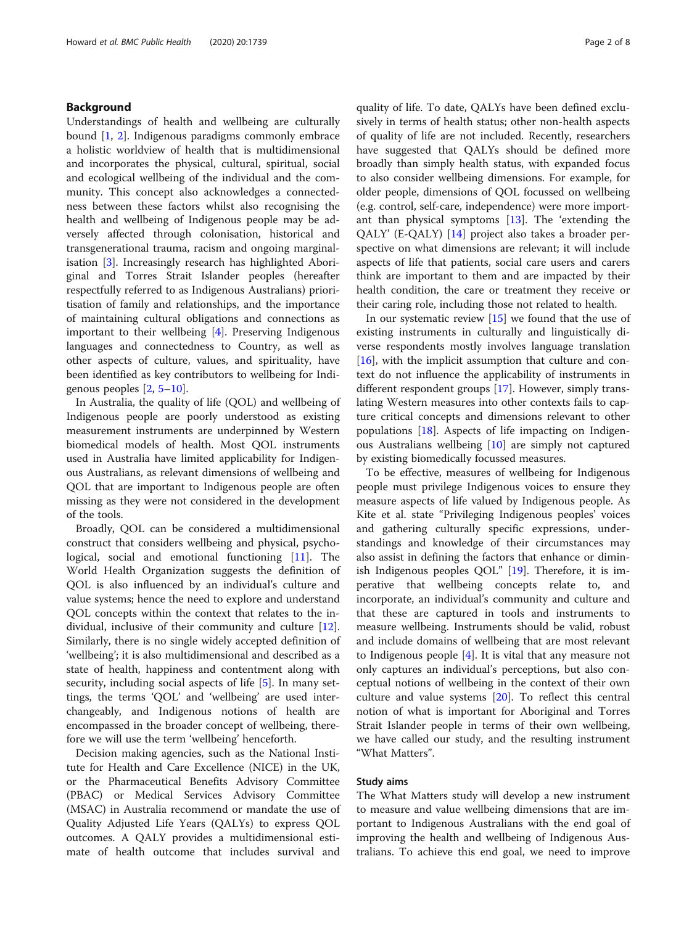# Background

Understandings of health and wellbeing are culturally bound [[1,](#page-6-0) [2](#page-6-0)]. Indigenous paradigms commonly embrace a holistic worldview of health that is multidimensional and incorporates the physical, cultural, spiritual, social and ecological wellbeing of the individual and the community. This concept also acknowledges a connectedness between these factors whilst also recognising the health and wellbeing of Indigenous people may be adversely affected through colonisation, historical and transgenerational trauma, racism and ongoing marginalisation [[3\]](#page-6-0). Increasingly research has highlighted Aboriginal and Torres Strait Islander peoples (hereafter respectfully referred to as Indigenous Australians) prioritisation of family and relationships, and the importance of maintaining cultural obligations and connections as important to their wellbeing [[4\]](#page-6-0). Preserving Indigenous languages and connectedness to Country, as well as other aspects of culture, values, and spirituality, have been identified as key contributors to wellbeing for Indigenous peoples [\[2](#page-6-0), [5](#page-6-0)–[10\]](#page-6-0).

In Australia, the quality of life (QOL) and wellbeing of Indigenous people are poorly understood as existing measurement instruments are underpinned by Western biomedical models of health. Most QOL instruments used in Australia have limited applicability for Indigenous Australians, as relevant dimensions of wellbeing and QOL that are important to Indigenous people are often missing as they were not considered in the development of the tools.

Broadly, QOL can be considered a multidimensional construct that considers wellbeing and physical, psycho-logical, social and emotional functioning [[11](#page-6-0)]. The World Health Organization suggests the definition of QOL is also influenced by an individual's culture and value systems; hence the need to explore and understand QOL concepts within the context that relates to the individual, inclusive of their community and culture [\[12](#page-6-0)]. Similarly, there is no single widely accepted definition of 'wellbeing'; it is also multidimensional and described as a state of health, happiness and contentment along with security, including social aspects of life [\[5](#page-6-0)]. In many settings, the terms 'QOL' and 'wellbeing' are used interchangeably, and Indigenous notions of health are encompassed in the broader concept of wellbeing, therefore we will use the term 'wellbeing' henceforth.

Decision making agencies, such as the National Institute for Health and Care Excellence (NICE) in the UK, or the Pharmaceutical Benefits Advisory Committee (PBAC) or Medical Services Advisory Committee (MSAC) in Australia recommend or mandate the use of Quality Adjusted Life Years (QALYs) to express QOL outcomes. A QALY provides a multidimensional estimate of health outcome that includes survival and

quality of life. To date, QALYs have been defined exclusively in terms of health status; other non-health aspects of quality of life are not included. Recently, researchers have suggested that QALYs should be defined more broadly than simply health status, with expanded focus to also consider wellbeing dimensions. For example, for older people, dimensions of QOL focussed on wellbeing (e.g. control, self-care, independence) were more important than physical symptoms [[13\]](#page-6-0). The 'extending the QALY' (E-QALY) [\[14](#page-6-0)] project also takes a broader perspective on what dimensions are relevant; it will include aspects of life that patients, social care users and carers think are important to them and are impacted by their health condition, the care or treatment they receive or their caring role, including those not related to health.

In our systematic review [\[15](#page-6-0)] we found that the use of existing instruments in culturally and linguistically diverse respondents mostly involves language translation [[16\]](#page-6-0), with the implicit assumption that culture and context do not influence the applicability of instruments in different respondent groups [\[17\]](#page-6-0). However, simply translating Western measures into other contexts fails to capture critical concepts and dimensions relevant to other populations [\[18\]](#page-6-0). Aspects of life impacting on Indigenous Australians wellbeing [[10](#page-6-0)] are simply not captured by existing biomedically focussed measures.

To be effective, measures of wellbeing for Indigenous people must privilege Indigenous voices to ensure they measure aspects of life valued by Indigenous people. As Kite et al. state "Privileging Indigenous peoples' voices and gathering culturally specific expressions, understandings and knowledge of their circumstances may also assist in defining the factors that enhance or diminish Indigenous peoples QOL" [\[19](#page-7-0)]. Therefore, it is imperative that wellbeing concepts relate to, and incorporate, an individual's community and culture and that these are captured in tools and instruments to measure wellbeing. Instruments should be valid, robust and include domains of wellbeing that are most relevant to Indigenous people  $[4]$  $[4]$ . It is vital that any measure not only captures an individual's perceptions, but also conceptual notions of wellbeing in the context of their own culture and value systems [[20\]](#page-7-0). To reflect this central notion of what is important for Aboriginal and Torres Strait Islander people in terms of their own wellbeing, we have called our study, and the resulting instrument "What Matters".

# Study aims

The What Matters study will develop a new instrument to measure and value wellbeing dimensions that are important to Indigenous Australians with the end goal of improving the health and wellbeing of Indigenous Australians. To achieve this end goal, we need to improve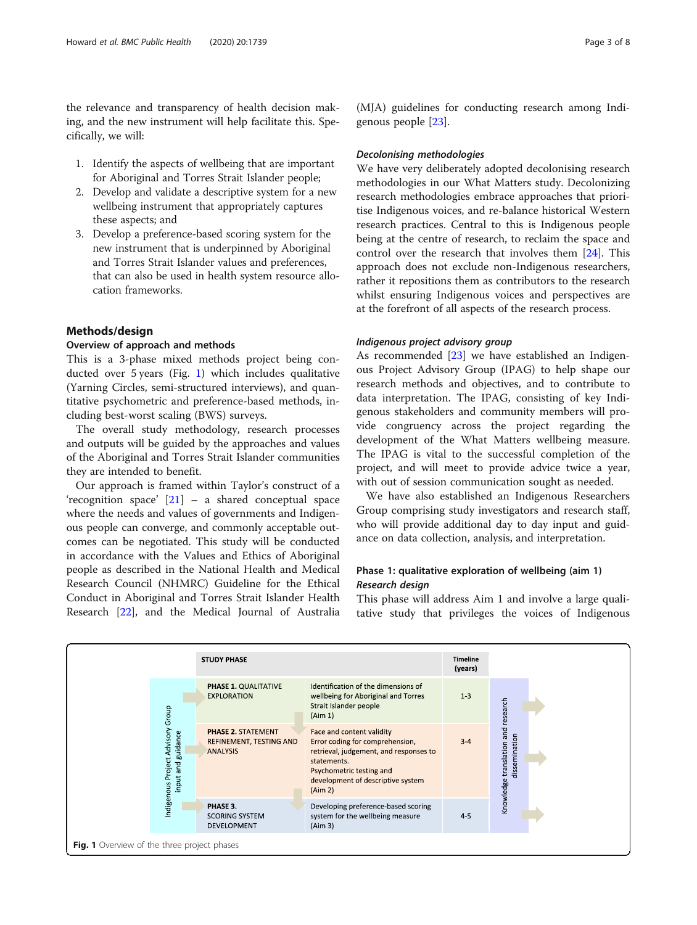the relevance and transparency of health decision making, and the new instrument will help facilitate this. Specifically, we will:

- 1. Identify the aspects of wellbeing that are important for Aboriginal and Torres Strait Islander people;
- 2. Develop and validate a descriptive system for a new wellbeing instrument that appropriately captures these aspects; and
- 3. Develop a preference-based scoring system for the new instrument that is underpinned by Aboriginal and Torres Strait Islander values and preferences, that can also be used in health system resource allocation frameworks.

# Methods/design

# Overview of approach and methods

This is a 3-phase mixed methods project being conducted over 5 years (Fig. 1) which includes qualitative (Yarning Circles, semi-structured interviews), and quantitative psychometric and preference-based methods, including best-worst scaling (BWS) surveys.

The overall study methodology, research processes and outputs will be guided by the approaches and values of the Aboriginal and Torres Strait Islander communities they are intended to benefit.

Our approach is framed within Taylor's construct of a 'recognition space'  $[21]$  $[21]$  – a shared conceptual space where the needs and values of governments and Indigenous people can converge, and commonly acceptable outcomes can be negotiated. This study will be conducted in accordance with the Values and Ethics of Aboriginal people as described in the National Health and Medical Research Council (NHMRC) Guideline for the Ethical Conduct in Aboriginal and Torres Strait Islander Health Research [[22](#page-7-0)], and the Medical Journal of Australia

(MJA) guidelines for conducting research among Indigenous people [\[23](#page-7-0)].

# Decolonising methodologies

We have very deliberately adopted decolonising research methodologies in our What Matters study. Decolonizing research methodologies embrace approaches that prioritise Indigenous voices, and re-balance historical Western research practices. Central to this is Indigenous people being at the centre of research, to reclaim the space and control over the research that involves them [\[24\]](#page-7-0). This approach does not exclude non-Indigenous researchers, rather it repositions them as contributors to the research whilst ensuring Indigenous voices and perspectives are at the forefront of all aspects of the research process.

# Indigenous project advisory group

As recommended [[23](#page-7-0)] we have established an Indigenous Project Advisory Group (IPAG) to help shape our research methods and objectives, and to contribute to data interpretation. The IPAG, consisting of key Indigenous stakeholders and community members will provide congruency across the project regarding the development of the What Matters wellbeing measure. The IPAG is vital to the successful completion of the project, and will meet to provide advice twice a year, with out of session communication sought as needed.

We have also established an Indigenous Researchers Group comprising study investigators and research staff, who will provide additional day to day input and guidance on data collection, analysis, and interpretation.

# Phase 1: qualitative exploration of wellbeing (aim 1) Research design

This phase will address Aim 1 and involve a large qualitative study that privileges the voices of Indigenous

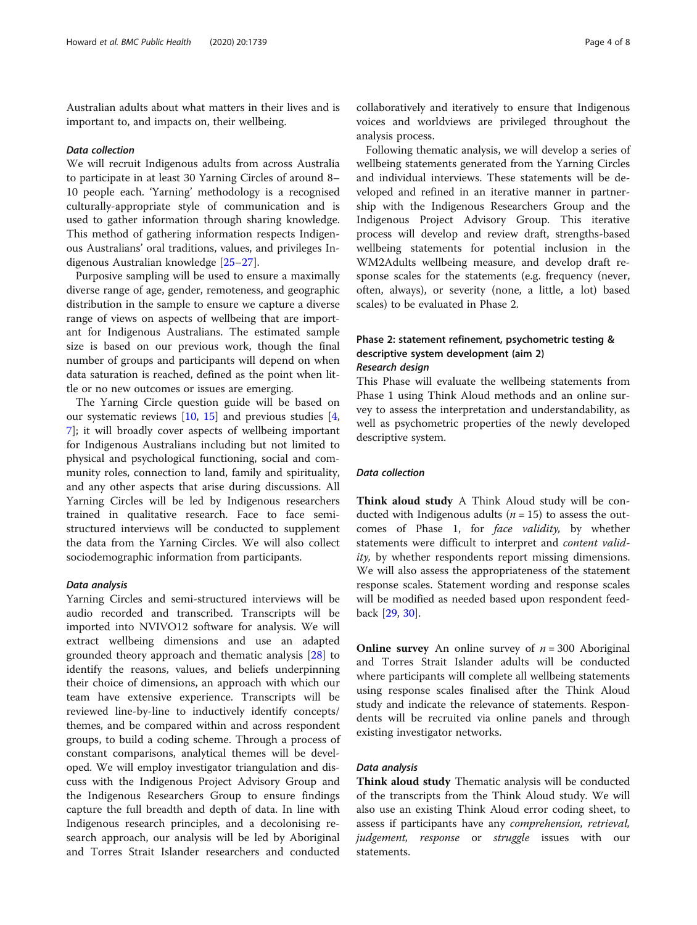Australian adults about what matters in their lives and is important to, and impacts on, their wellbeing.

#### Data collection

We will recruit Indigenous adults from across Australia to participate in at least 30 Yarning Circles of around 8– 10 people each. 'Yarning' methodology is a recognised culturally-appropriate style of communication and is used to gather information through sharing knowledge. This method of gathering information respects Indigenous Australians' oral traditions, values, and privileges Indigenous Australian knowledge [[25](#page-7-0)–[27\]](#page-7-0).

Purposive sampling will be used to ensure a maximally diverse range of age, gender, remoteness, and geographic distribution in the sample to ensure we capture a diverse range of views on aspects of wellbeing that are important for Indigenous Australians. The estimated sample size is based on our previous work, though the final number of groups and participants will depend on when data saturation is reached, defined as the point when little or no new outcomes or issues are emerging.

The Yarning Circle question guide will be based on our systematic reviews [\[10,](#page-6-0) [15\]](#page-6-0) and previous studies [\[4](#page-6-0), [7\]](#page-6-0); it will broadly cover aspects of wellbeing important for Indigenous Australians including but not limited to physical and psychological functioning, social and community roles, connection to land, family and spirituality, and any other aspects that arise during discussions. All Yarning Circles will be led by Indigenous researchers trained in qualitative research. Face to face semistructured interviews will be conducted to supplement the data from the Yarning Circles. We will also collect sociodemographic information from participants.

## Data analysis

Yarning Circles and semi-structured interviews will be audio recorded and transcribed. Transcripts will be imported into NVIVO12 software for analysis. We will extract wellbeing dimensions and use an adapted grounded theory approach and thematic analysis [[28\]](#page-7-0) to identify the reasons, values, and beliefs underpinning their choice of dimensions, an approach with which our team have extensive experience. Transcripts will be reviewed line-by-line to inductively identify concepts/ themes, and be compared within and across respondent groups, to build a coding scheme. Through a process of constant comparisons, analytical themes will be developed. We will employ investigator triangulation and discuss with the Indigenous Project Advisory Group and the Indigenous Researchers Group to ensure findings capture the full breadth and depth of data. In line with Indigenous research principles, and a decolonising research approach, our analysis will be led by Aboriginal and Torres Strait Islander researchers and conducted

collaboratively and iteratively to ensure that Indigenous voices and worldviews are privileged throughout the analysis process.

Following thematic analysis, we will develop a series of wellbeing statements generated from the Yarning Circles and individual interviews. These statements will be developed and refined in an iterative manner in partnership with the Indigenous Researchers Group and the Indigenous Project Advisory Group. This iterative process will develop and review draft, strengths-based wellbeing statements for potential inclusion in the WM2Adults wellbeing measure, and develop draft response scales for the statements (e.g. frequency (never, often, always), or severity (none, a little, a lot) based scales) to be evaluated in Phase 2.

# Phase 2: statement refinement, psychometric testing & descriptive system development (aim 2) Research design

This Phase will evaluate the wellbeing statements from Phase 1 using Think Aloud methods and an online survey to assess the interpretation and understandability, as well as psychometric properties of the newly developed descriptive system.

# Data collection

Think aloud study A Think Aloud study will be conducted with Indigenous adults ( $n = 15$ ) to assess the outcomes of Phase 1, for face validity, by whether statements were difficult to interpret and content validity, by whether respondents report missing dimensions. We will also assess the appropriateness of the statement response scales. Statement wording and response scales will be modified as needed based upon respondent feedback [[29](#page-7-0), [30](#page-7-0)].

**Online survey** An online survey of  $n = 300$  Aboriginal and Torres Strait Islander adults will be conducted where participants will complete all wellbeing statements using response scales finalised after the Think Aloud study and indicate the relevance of statements. Respondents will be recruited via online panels and through existing investigator networks.

# Data analysis

Think aloud study Thematic analysis will be conducted of the transcripts from the Think Aloud study. We will also use an existing Think Aloud error coding sheet, to assess if participants have any comprehension, retrieval, judgement, response or struggle issues with our statements.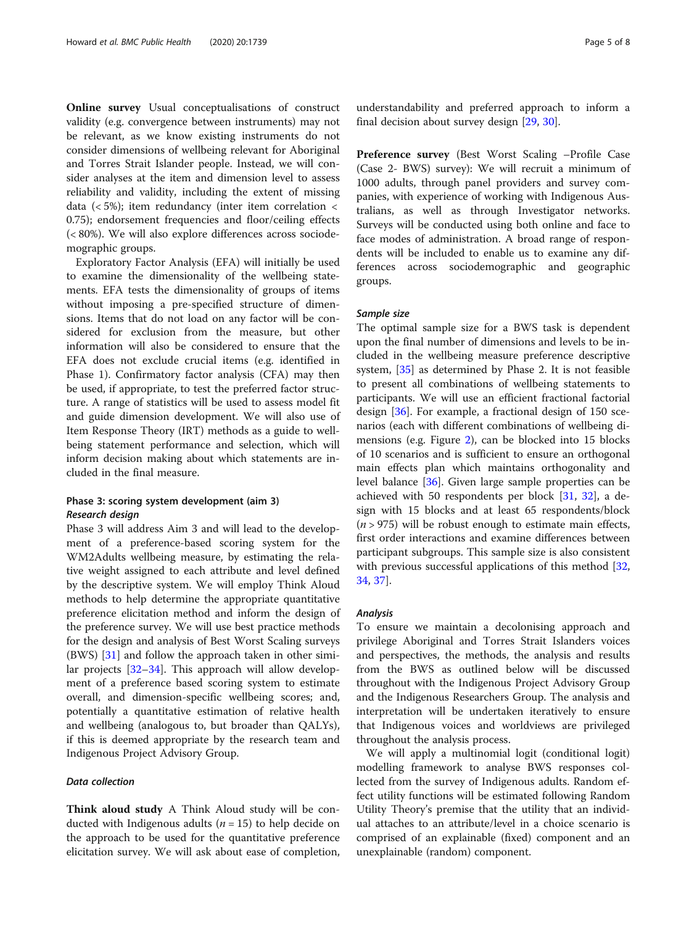Online survey Usual conceptualisations of construct validity (e.g. convergence between instruments) may not be relevant, as we know existing instruments do not consider dimensions of wellbeing relevant for Aboriginal and Torres Strait Islander people. Instead, we will consider analyses at the item and dimension level to assess reliability and validity, including the extent of missing data (< 5%); item redundancy (inter item correlation < 0.75); endorsement frequencies and floor/ceiling effects (< 80%). We will also explore differences across sociodemographic groups.

Exploratory Factor Analysis (EFA) will initially be used to examine the dimensionality of the wellbeing statements. EFA tests the dimensionality of groups of items without imposing a pre-specified structure of dimensions. Items that do not load on any factor will be considered for exclusion from the measure, but other information will also be considered to ensure that the EFA does not exclude crucial items (e.g. identified in Phase 1). Confirmatory factor analysis (CFA) may then be used, if appropriate, to test the preferred factor structure. A range of statistics will be used to assess model fit and guide dimension development. We will also use of Item Response Theory (IRT) methods as a guide to wellbeing statement performance and selection, which will inform decision making about which statements are included in the final measure.

# Phase 3: scoring system development (aim 3) Research design

Phase 3 will address Aim 3 and will lead to the development of a preference-based scoring system for the WM2Adults wellbeing measure, by estimating the relative weight assigned to each attribute and level defined by the descriptive system. We will employ Think Aloud methods to help determine the appropriate quantitative preference elicitation method and inform the design of the preference survey. We will use best practice methods for the design and analysis of Best Worst Scaling surveys (BWS) [[31\]](#page-7-0) and follow the approach taken in other similar projects [\[32](#page-7-0)–[34\]](#page-7-0). This approach will allow development of a preference based scoring system to estimate overall, and dimension-specific wellbeing scores; and, potentially a quantitative estimation of relative health and wellbeing (analogous to, but broader than QALYs), if this is deemed appropriate by the research team and Indigenous Project Advisory Group.

# Data collection

Think aloud study A Think Aloud study will be conducted with Indigenous adults ( $n = 15$ ) to help decide on the approach to be used for the quantitative preference elicitation survey. We will ask about ease of completion,

understandability and preferred approach to inform a final decision about survey design [\[29,](#page-7-0) [30\]](#page-7-0).

Preference survey (Best Worst Scaling –Profile Case (Case 2- BWS) survey): We will recruit a minimum of 1000 adults, through panel providers and survey companies, with experience of working with Indigenous Australians, as well as through Investigator networks. Surveys will be conducted using both online and face to face modes of administration. A broad range of respondents will be included to enable us to examine any differences across sociodemographic and geographic groups.

# Sample size

The optimal sample size for a BWS task is dependent upon the final number of dimensions and levels to be included in the wellbeing measure preference descriptive system, [\[35](#page-7-0)] as determined by Phase 2. It is not feasible to present all combinations of wellbeing statements to participants. We will use an efficient fractional factorial design [\[36](#page-7-0)]. For example, a fractional design of 150 scenarios (each with different combinations of wellbeing dimensions (e.g. Figure [2](#page-5-0)), can be blocked into 15 blocks of 10 scenarios and is sufficient to ensure an orthogonal main effects plan which maintains orthogonality and level balance [\[36](#page-7-0)]. Given large sample properties can be achieved with 50 respondents per block [\[31](#page-7-0), [32](#page-7-0)], a design with 15 blocks and at least 65 respondents/block  $(n > 975)$  will be robust enough to estimate main effects, first order interactions and examine differences between participant subgroups. This sample size is also consistent with previous successful applications of this method [[32](#page-7-0), [34,](#page-7-0) [37](#page-7-0)].

### Analysis

To ensure we maintain a decolonising approach and privilege Aboriginal and Torres Strait Islanders voices and perspectives, the methods, the analysis and results from the BWS as outlined below will be discussed throughout with the Indigenous Project Advisory Group and the Indigenous Researchers Group. The analysis and interpretation will be undertaken iteratively to ensure that Indigenous voices and worldviews are privileged throughout the analysis process.

We will apply a multinomial logit (conditional logit) modelling framework to analyse BWS responses collected from the survey of Indigenous adults. Random effect utility functions will be estimated following Random Utility Theory's premise that the utility that an individual attaches to an attribute/level in a choice scenario is comprised of an explainable (fixed) component and an unexplainable (random) component.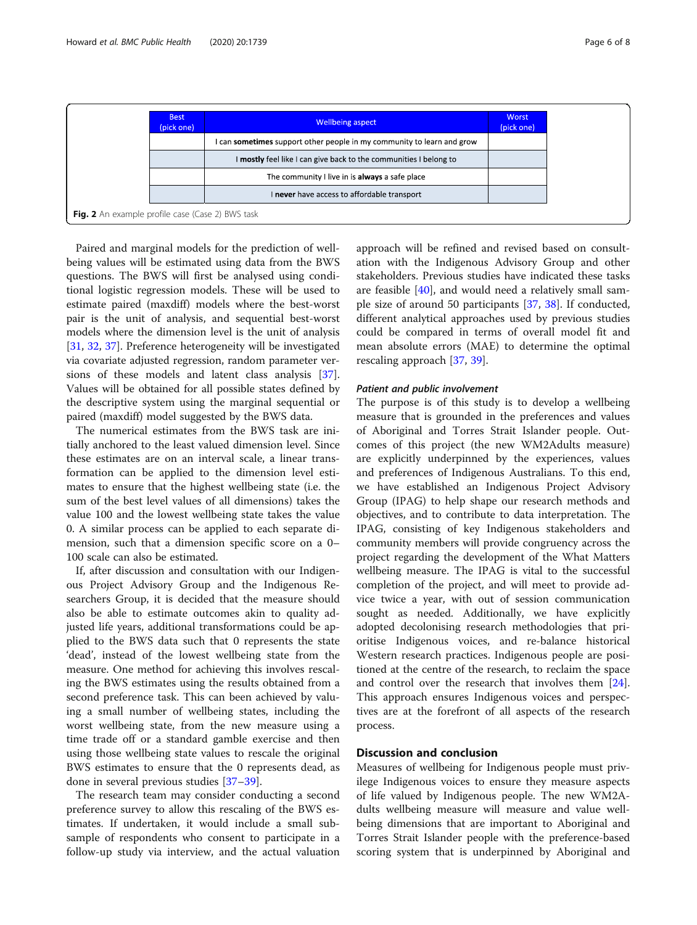<span id="page-5-0"></span>

Paired and marginal models for the prediction of wellbeing values will be estimated using data from the BWS questions. The BWS will first be analysed using conditional logistic regression models. These will be used to estimate paired (maxdiff) models where the best-worst pair is the unit of analysis, and sequential best-worst models where the dimension level is the unit of analysis [[31,](#page-7-0) [32,](#page-7-0) [37\]](#page-7-0). Preference heterogeneity will be investigated via covariate adjusted regression, random parameter versions of these models and latent class analysis [\[37](#page-7-0)]. Values will be obtained for all possible states defined by the descriptive system using the marginal sequential or paired (maxdiff) model suggested by the BWS data.

The numerical estimates from the BWS task are initially anchored to the least valued dimension level. Since these estimates are on an interval scale, a linear transformation can be applied to the dimension level estimates to ensure that the highest wellbeing state (i.e. the sum of the best level values of all dimensions) takes the value 100 and the lowest wellbeing state takes the value 0. A similar process can be applied to each separate dimension, such that a dimension specific score on a 0– 100 scale can also be estimated.

If, after discussion and consultation with our Indigenous Project Advisory Group and the Indigenous Researchers Group, it is decided that the measure should also be able to estimate outcomes akin to quality adjusted life years, additional transformations could be applied to the BWS data such that 0 represents the state 'dead', instead of the lowest wellbeing state from the measure. One method for achieving this involves rescaling the BWS estimates using the results obtained from a second preference task. This can been achieved by valuing a small number of wellbeing states, including the worst wellbeing state, from the new measure using a time trade off or a standard gamble exercise and then using those wellbeing state values to rescale the original BWS estimates to ensure that the 0 represents dead, as done in several previous studies [\[37](#page-7-0)–[39\]](#page-7-0).

The research team may consider conducting a second preference survey to allow this rescaling of the BWS estimates. If undertaken, it would include a small subsample of respondents who consent to participate in a follow-up study via interview, and the actual valuation approach will be refined and revised based on consultation with the Indigenous Advisory Group and other stakeholders. Previous studies have indicated these tasks are feasible  $[40]$  $[40]$ , and would need a relatively small sample size of around 50 participants [\[37](#page-7-0), [38\]](#page-7-0). If conducted, different analytical approaches used by previous studies could be compared in terms of overall model fit and mean absolute errors (MAE) to determine the optimal rescaling approach [\[37](#page-7-0), [39](#page-7-0)].

# Patient and public involvement

The purpose is of this study is to develop a wellbeing measure that is grounded in the preferences and values of Aboriginal and Torres Strait Islander people. Outcomes of this project (the new WM2Adults measure) are explicitly underpinned by the experiences, values and preferences of Indigenous Australians. To this end, we have established an Indigenous Project Advisory Group (IPAG) to help shape our research methods and objectives, and to contribute to data interpretation. The IPAG, consisting of key Indigenous stakeholders and community members will provide congruency across the project regarding the development of the What Matters wellbeing measure. The IPAG is vital to the successful completion of the project, and will meet to provide advice twice a year, with out of session communication sought as needed. Additionally, we have explicitly adopted decolonising research methodologies that prioritise Indigenous voices, and re-balance historical Western research practices. Indigenous people are positioned at the centre of the research, to reclaim the space and control over the research that involves them [\[24](#page-7-0)]. This approach ensures Indigenous voices and perspectives are at the forefront of all aspects of the research process.

# Discussion and conclusion

Measures of wellbeing for Indigenous people must privilege Indigenous voices to ensure they measure aspects of life valued by Indigenous people. The new WM2Adults wellbeing measure will measure and value wellbeing dimensions that are important to Aboriginal and Torres Strait Islander people with the preference-based scoring system that is underpinned by Aboriginal and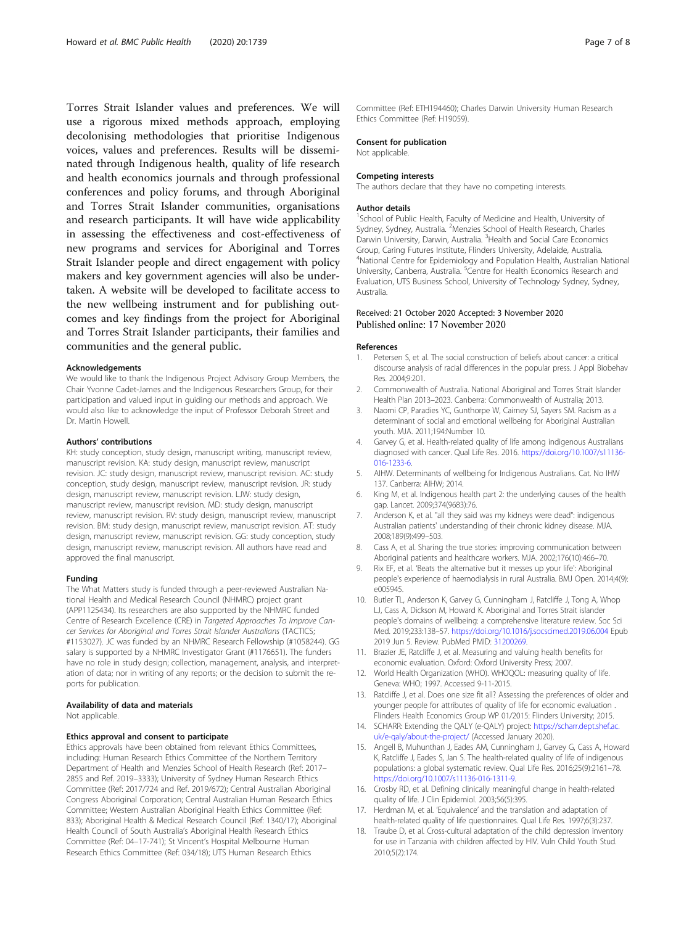<span id="page-6-0"></span>Torres Strait Islander values and preferences. We will use a rigorous mixed methods approach, employing decolonising methodologies that prioritise Indigenous voices, values and preferences. Results will be disseminated through Indigenous health, quality of life research and health economics journals and through professional conferences and policy forums, and through Aboriginal and Torres Strait Islander communities, organisations and research participants. It will have wide applicability in assessing the effectiveness and cost-effectiveness of new programs and services for Aboriginal and Torres Strait Islander people and direct engagement with policy makers and key government agencies will also be undertaken. A website will be developed to facilitate access to the new wellbeing instrument and for publishing outcomes and key findings from the project for Aboriginal and Torres Strait Islander participants, their families and communities and the general public.

#### **Acknowledgements**

We would like to thank the Indigenous Project Advisory Group Members, the Chair Yvonne Cadet-James and the Indigenous Researchers Group, for their participation and valued input in guiding our methods and approach. We would also like to acknowledge the input of Professor Deborah Street and Dr. Martin Howell.

#### Authors' contributions

KH: study conception, study design, manuscript writing, manuscript review, manuscript revision. KA: study design, manuscript review, manuscript revision. JC: study design, manuscript review, manuscript revision. AC: study conception, study design, manuscript review, manuscript revision. JR: study design, manuscript review, manuscript revision. LJW: study design, manuscript review, manuscript revision. MD: study design, manuscript review, manuscript revision. RV: study design, manuscript review, manuscript revision. BM: study design, manuscript review, manuscript revision. AT: study design, manuscript review, manuscript revision. GG: study conception, study design, manuscript review, manuscript revision. All authors have read and approved the final manuscript.

#### Funding

The What Matters study is funded through a peer-reviewed Australian National Health and Medical Research Council (NHMRC) project grant (APP1125434). Its researchers are also supported by the NHMRC funded Centre of Research Excellence (CRE) in Targeted Approaches To Improve Cancer Services for Aboriginal and Torres Strait Islander Australians (TACTICS; #1153027). JC was funded by an NHMRC Research Fellowship (#1058244). GG salary is supported by a NHMRC Investigator Grant (#1176651). The funders have no role in study design; collection, management, analysis, and interpretation of data; nor in writing of any reports; or the decision to submit the reports for publication.

#### Availability of data and materials

Not applicable.

#### Ethics approval and consent to participate

Ethics approvals have been obtained from relevant Ethics Committees, including: Human Research Ethics Committee of the Northern Territory Department of Health and Menzies School of Health Research (Ref: 2017– 2855 and Ref. 2019–3333); University of Sydney Human Research Ethics Committee (Ref: 2017/724 and Ref. 2019/672); Central Australian Aboriginal Congress Aboriginal Corporation; Central Australian Human Research Ethics Committee; Western Australian Aboriginal Health Ethics Committee (Ref: 833); Aboriginal Health & Medical Research Council (Ref: 1340/17); Aboriginal Health Council of South Australia's Aboriginal Health Research Ethics Committee (Ref: 04–17-741); St Vincent's Hospital Melbourne Human Research Ethics Committee (Ref: 034/18); UTS Human Research Ethics

Committee (Ref: ETH194460); Charles Darwin University Human Research Ethics Committee (Ref: H19059).

#### Consent for publication

Not applicable.

#### Competing interests

The authors declare that they have no competing interests.

#### Author details

<sup>1</sup>School of Public Health, Faculty of Medicine and Health, University of Sydney, Sydney, Australia. <sup>2</sup>Menzies School of Health Research, Charles Darwin University, Darwin, Australia. <sup>3</sup> Health and Social Care Economics Group, Caring Futures Institute, Flinders University, Adelaide, Australia. 4 National Centre for Epidemiology and Population Health, Australian National University, Canberra, Australia. <sup>5</sup> Centre for Health Economics Research and Evaluation, UTS Business School, University of Technology Sydney, Sydney, Australia.

## Received: 21 October 2020 Accepted: 3 November 2020 Published online: 17 November 2020

#### References

- 1. Petersen S, et al. The social construction of beliefs about cancer: a critical discourse analysis of racial differences in the popular press. J Appl Biobehav Res. 2004;9:201.
- 2. Commonwealth of Australia. National Aboriginal and Torres Strait Islander Health Plan 2013–2023. Canberra: Commonwealth of Australia; 2013.
- Naomi CP, Paradies YC, Gunthorpe W, Cairney SJ, Sayers SM. Racism as a determinant of social and emotional wellbeing for Aboriginal Australian youth. MJA. 2011;194:Number 10.
- 4. Garvey G, et al. Health-related quality of life among indigenous Australians diagnosed with cancer. Qual Life Res. 2016. [https://doi.org/10.1007/s11136-](https://doi.org/10.1007/s11136-016-1233-6) [016-1233-6](https://doi.org/10.1007/s11136-016-1233-6).
- 5. AIHW. Determinants of wellbeing for Indigenous Australians. Cat. No IHW 137. Canberra: AIHW; 2014.
- 6. King M, et al. Indigenous health part 2: the underlying causes of the health gap. Lancet. 2009;374(9683):76.
- 7. Anderson K, et al. "all they said was my kidneys were dead": indigenous Australian patients' understanding of their chronic kidney disease. MJA. 2008;189(9):499–503.
- 8. Cass A, et al. Sharing the true stories: improving communication between Aboriginal patients and healthcare workers. MJA. 2002;176(10):466–70.
- 9. Rix EF, et al. 'Beats the alternative but it messes up your life': Aboriginal people's experience of haemodialysis in rural Australia. BMJ Open. 2014;4(9): e005945.
- 10. Butler TL, Anderson K, Garvey G, Cunningham J, Ratcliffe J, Tong A, Whop LJ, Cass A, Dickson M, Howard K. Aboriginal and Torres Strait islander people's domains of wellbeing: a comprehensive literature review. Soc Sci Med. 2019;233:138–57. <https://doi.org/10.1016/j.socscimed.2019.06.004> Epub 2019 Jun 5. Review. PubMed PMID: [31200269.](https://www.ncbi.nlm.nih.gov/pubmed/31200269)
- 11. Brazier JE, Ratcliffe J, et al. Measuring and valuing health benefits for economic evaluation. Oxford: Oxford University Press; 2007.
- 12. World Health Organization (WHO). WHOQOL: measuring quality of life. Geneva: WHO; 1997. Accessed 9-11-2015.
- 13. Ratcliffe J, et al. Does one size fit all? Assessing the preferences of older and younger people for attributes of quality of life for economic evaluation . Flinders Health Economics Group WP 01/2015: Flinders University; 2015.
- 14. SCHARR: Extending the QALY (e-QALY) project: [https://scharr.dept.shef.ac.](https://scharr.dept.shef.ac.uk/e-qaly/about-the-project/) [uk/e-qaly/about-the-project/](https://scharr.dept.shef.ac.uk/e-qaly/about-the-project/) (Accessed January 2020).
- 15. Angell B, Muhunthan J, Eades AM, Cunningham J, Garvey G, Cass A, Howard K, Ratcliffe J, Eades S, Jan S. The health-related quality of life of indigenous populations: a global systematic review. Qual Life Res. 2016;25(9):2161–78. <https://doi.org/10.1007/s11136-016-1311-9>.
- 16. Crosby RD, et al. Defining clinically meaningful change in health-related quality of life. J Clin Epidemiol. 2003;56(5):395.
- 17. Herdman M, et al. 'Equivalence' and the translation and adaptation of health-related quality of life questionnaires. Qual Life Res. 1997;6(3):237.
- 18. Traube D, et al. Cross-cultural adaptation of the child depression inventory for use in Tanzania with children affected by HIV. Vuln Child Youth Stud. 2010;5(2):174.